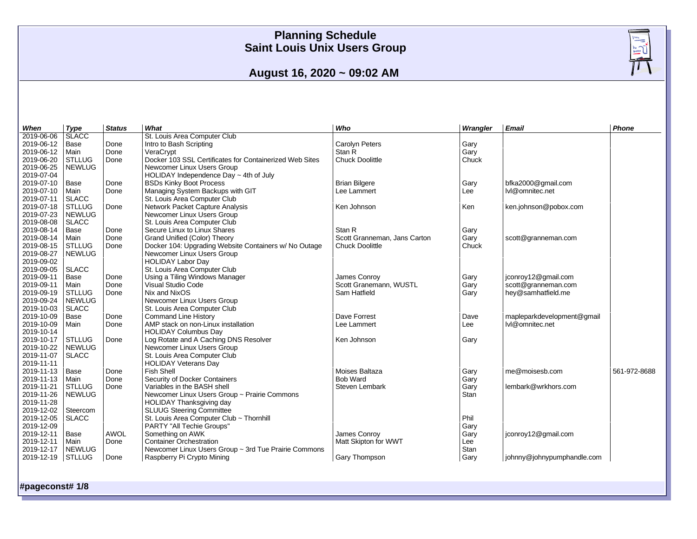

# **August 16, 2020 ~ 09:02 AM**

| When       | Type          | <b>Status</b> | What                                                    | Who                          | Wrangler | <b>Email</b>               | Phone        |
|------------|---------------|---------------|---------------------------------------------------------|------------------------------|----------|----------------------------|--------------|
| 2019-06-06 | <b>SLACC</b>  |               | St. Louis Area Computer Club                            |                              |          |                            |              |
| 2019-06-12 | Base          | Done          | Intro to Bash Scripting                                 | Carolyn Peters               | Gary     |                            |              |
| 2019-06-12 | Main          | Done          | VeraCrypt                                               | Stan R                       | Gary     |                            |              |
| 2019-06-20 | <b>STLLUG</b> | Done          | Docker 103 SSL Certificates for Containerized Web Sites | <b>Chuck Doolittle</b>       | Chuck    |                            |              |
| 2019-06-25 | <b>NEWLUG</b> |               | Newcomer Linux Users Group                              |                              |          |                            |              |
| 2019-07-04 |               |               | HOLIDAY Independence Day $\sim$ 4th of July             |                              |          |                            |              |
| 2019-07-10 | Base          | Done          | <b>BSDs Kinky Boot Process</b>                          | <b>Brian Bilgere</b>         | Gary     | bfka2000@gmail.com         |              |
| 2019-07-10 | Main          | Done          | Managing System Backups with GIT                        | Lee Lammert                  | Lee      | lvl@omnitec.net            |              |
| 2019-07-11 | <b>SLACC</b>  |               | St. Louis Area Computer Club                            |                              |          |                            |              |
| 2019-07-18 | <b>STLLUG</b> | Done          | Network Packet Capture Analysis                         | Ken Johnson                  | Ken      | ken.johnson@pobox.com      |              |
| 2019-07-23 | <b>NEWLUG</b> |               | Newcomer Linux Users Group                              |                              |          |                            |              |
| 2019-08-08 | <b>SLACC</b>  |               | St. Louis Area Computer Club                            |                              |          |                            |              |
| 2019-08-14 | Base          | Done          | Secure Linux to Linux Shares                            | Stan R                       | Gary     |                            |              |
| 2019-08-14 | Main          | Done          | Grand Unified (Color) Theory                            | Scott Granneman, Jans Carton | Gary     | scott@granneman.com        |              |
| 2019-08-15 | <b>STLLUG</b> | Done          | Docker 104: Upgrading Website Containers w/ No Outage   | Chuck Doolittle              | Chuck    |                            |              |
| 2019-08-27 | <b>NEWLUG</b> |               | Newcomer Linux Users Group                              |                              |          |                            |              |
| 2019-09-02 |               |               | <b>HOLIDAY Labor Day</b>                                |                              |          |                            |              |
| 2019-09-05 | <b>SLACC</b>  |               | St. Louis Area Computer Club                            |                              |          |                            |              |
| 2019-09-11 | Base          | Done          | Using a Tiling Windows Manager                          | James Conroy                 | Gary     | jconroy12@gmail.com        |              |
| 2019-09-11 | Main          | Done          | Visual Studio Code                                      | Scott Granemann, WUSTL       | Gary     | scott@granneman.com        |              |
| 2019-09-19 | <b>STLLUG</b> | Done          | Nix and NixOS                                           | Sam Hatfield                 | Gary     | hey@samhatfield.me         |              |
| 2019-09-24 | <b>NEWLUG</b> |               | Newcomer Linux Users Group                              |                              |          |                            |              |
| 2019-10-03 | <b>SLACC</b>  |               | St. Louis Area Computer Club                            |                              |          |                            |              |
| 2019-10-09 | Base          | Done          | <b>Command Line History</b>                             | Dave Forrest                 | Dave     | mapleparkdevelopment@gmail |              |
| 2019-10-09 | Main          | Done          | AMP stack on non-Linux installation                     | Lee Lammert                  | Lee      | lvl@omnitec.net            |              |
| 2019-10-14 |               |               | <b>HOLIDAY Columbus Day</b>                             |                              |          |                            |              |
| 2019-10-17 | <b>STLLUG</b> | Done          | Log Rotate and A Caching DNS Resolver                   | Ken Johnson                  | Gary     |                            |              |
| 2019-10-22 | <b>NEWLUG</b> |               | Newcomer Linux Users Group                              |                              |          |                            |              |
| 2019-11-07 | <b>SLACC</b>  |               | St. Louis Area Computer Club                            |                              |          |                            |              |
| 2019-11-11 |               |               | <b>HOLIDAY Veterans Day</b>                             |                              |          |                            |              |
| 2019-11-13 | Base          | Done          | <b>Fish Shell</b>                                       | Moises Baltaza               | Gary     | me@moisesb.com             | 561-972-8688 |
| 2019-11-13 | Main          | Done          | Security of Docker Containers                           | <b>Bob Ward</b>              | Gary     |                            |              |
| 2019-11-21 | <b>STLLUG</b> | Done          | Variables in the BASH shell                             | Steven Lembark               | Gary     | lembark@wrkhors.com        |              |
| 2019-11-26 | <b>NEWLUG</b> |               | Newcomer Linux Users Group ~ Prairie Commons            |                              | Stan     |                            |              |
| 2019-11-28 |               |               | HOLIDAY Thanksgiving day                                |                              |          |                            |              |
| 2019-12-02 | Steercom      |               | <b>SLUUG Steering Committee</b>                         |                              |          |                            |              |
| 2019-12-05 | <b>SLACC</b>  |               | St. Louis Area Computer Club ~ Thornhill                |                              | Phil     |                            |              |
| 2019-12-09 |               |               | PARTY "All Techie Groups"                               |                              | Gary     |                            |              |
| 2019-12-11 | Base          | <b>AWOL</b>   | Something on AWK                                        | James Conroy                 | Gary     | jconroy12@gmail.com        |              |
| 2019-12-11 | Main          | Done          | <b>Container Orchestration</b>                          | Matt Skipton for WWT         | Lee      |                            |              |
| 2019-12-17 | <b>NEWLUG</b> |               | Newcomer Linux Users Group ~ 3rd Tue Prairie Commons    |                              | Stan     |                            |              |
| 2019-12-19 | <b>STLLUG</b> | Done          | Raspberry Pi Crypto Mining                              | Gary Thompson                | Gary     | johnny@johnypumphandle.com |              |
|            |               |               |                                                         |                              |          |                            |              |

**#pageconst# 1/8**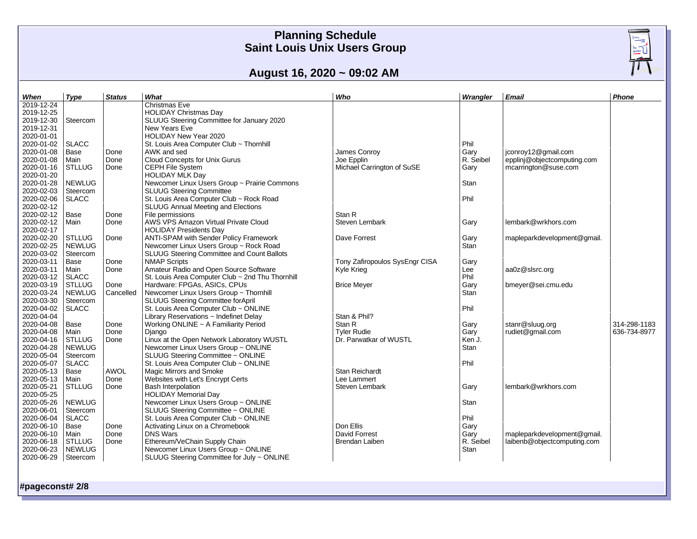# $\frac{\sqrt{\frac{1}{2}}}{\sqrt{\frac{1}{2}}\sqrt{\frac{1}{2}}\sqrt{\frac{1}{2}}}}$

# **August 16, 2020 ~ 09:02 AM**

| When       | Type          | <b>Status</b> | What                                                                                 | Who                            | Wrangler  | Email                       | Phone        |
|------------|---------------|---------------|--------------------------------------------------------------------------------------|--------------------------------|-----------|-----------------------------|--------------|
| 2019-12-24 |               |               | <b>Christmas Eve</b>                                                                 |                                |           |                             |              |
| 2019-12-25 |               |               | <b>HOLIDAY Christmas Day</b>                                                         |                                |           |                             |              |
| 2019-12-30 | Steercom      |               | SLUUG Steering Committee for January 2020                                            |                                |           |                             |              |
| 2019-12-31 |               |               | New Years Eve                                                                        |                                |           |                             |              |
| 2020-01-01 |               |               | HOLIDAY New Year 2020                                                                |                                |           |                             |              |
| 2020-01-02 | <b>SLACC</b>  |               | St. Louis Area Computer Club ~ Thornhill                                             |                                | Phil      |                             |              |
| 2020-01-08 | Base          | Done          | AWK and sed                                                                          | James Conroy                   | Gary      | jconroy12@gmail.com         |              |
| 2020-01-08 | Main          | Done          | Cloud Concepts for Unix Gurus                                                        | Joe Epplin                     | R. Seibel | epplinj@objectcomputing.com |              |
| 2020-01-16 | <b>STLLUG</b> | Done          | CEPH File System                                                                     | Michael Carrington of SuSE     | Gary      | mcarrington@suse.com        |              |
| 2020-01-20 |               |               | <b>HOLIDAY MLK Day</b>                                                               |                                |           |                             |              |
| 2020-01-28 | <b>NEWLUG</b> |               | Newcomer Linux Users Group ~ Prairie Commons                                         |                                | Stan      |                             |              |
| 2020-02-03 | Steercom      |               | <b>SLUUG Steering Committee</b>                                                      |                                |           |                             |              |
| 2020-02-06 | <b>SLACC</b>  |               | St. Louis Area Computer Club ~ Rock Road                                             |                                | Phil      |                             |              |
| 2020-02-12 |               |               | <b>SLUUG Annual Meeting and Elections</b>                                            |                                |           |                             |              |
| 2020-02-12 | Base          | Done          | File permissions                                                                     | Stan R                         |           |                             |              |
| 2020-02-12 | Main          | Done          | AWS VPS Amazon Virtual Private Cloud                                                 | Steven Lembark                 | Gary      | lembark@wrkhors.com         |              |
| 2020-02-17 |               |               | <b>HOLIDAY Presidents Day</b>                                                        |                                |           |                             |              |
| 2020-02-20 | <b>STLLUG</b> |               |                                                                                      | Dave Forrest                   |           |                             |              |
| 2020-02-25 | <b>NEWLUG</b> | Done          | ANTI-SPAM with Sender Policy Framework                                               |                                | Gary      | mapleparkdevelopment@gmail. |              |
| 2020-03-02 |               |               | Newcomer Linux Users Group ~ Rock Road<br>SLUUG Steering Committee and Count Ballots |                                | Stan      |                             |              |
|            | Steercom      |               |                                                                                      |                                |           |                             |              |
| 2020-03-11 | Base          | Done          | <b>NMAP Scripts</b>                                                                  | Tony Zafiropoulos SysEngr CISA | Gary      |                             |              |
| 2020-03-11 | Main          | Done          | Amateur Radio and Open Source Software                                               | Kyle Krieg                     | Lee       | aa0z@slsrc.org              |              |
| 2020-03-12 | <b>SLACC</b>  |               | St. Louis Area Computer Club ~ 2nd Thu Thornhill                                     |                                | Phil      |                             |              |
| 2020-03-19 | <b>STLLUG</b> | Done          | Hardware: FPGAs, ASICs, CPUs                                                         | <b>Brice Meyer</b>             | Gary      | bmeyer@sei.cmu.edu          |              |
| 2020-03-24 | <b>NEWLUG</b> | Cancelled     | Newcomer Linux Users Group ~ Thornhill                                               |                                | Stan      |                             |              |
| 2020-03-30 | Steercom      |               | SLUUG Steering Committee forApril                                                    |                                |           |                             |              |
| 2020-04-02 | <b>SLACC</b>  |               | St. Louis Area Computer Club ~ ONLINE                                                |                                | Phil      |                             |              |
| 2020-04-04 |               |               | Library Reservations ~ Indefinet Delay                                               | Stan & Phil?                   |           |                             |              |
| 2020-04-08 | Base          | Done          | Working ONLINE ~ A Familiarity Period                                                | Stan R                         | Gary      | stanr@sluug.org             | 314-298-1183 |
| 2020-04-08 | Main          | Done          | Diango                                                                               | <b>Tyler Rudie</b>             | Gary      | rudiet@gmail.com            | 636-734-8977 |
| 2020-04-16 | <b>STLLUG</b> | Done          | Linux at the Open Network Laboratory WUSTL                                           | Dr. Parwatkar of WUSTL         | Ken J.    |                             |              |
| 2020-04-28 | <b>NEWLUG</b> |               | Newcomer Linux Users Group ~ ONLINE                                                  |                                | Stan      |                             |              |
| 2020-05-04 | Steercom      |               | SLUUG Steering Committee ~ ONLINE                                                    |                                |           |                             |              |
| 2020-05-07 | <b>SLACC</b>  |               | St. Louis Area Computer Club ~ ONLINE                                                |                                | Phil      |                             |              |
| 2020-05-13 | Base          | AWOL          | Magic Mirrors and Smoke                                                              | <b>Stan Reichardt</b>          |           |                             |              |
| 2020-05-13 | Main          | Done          | Websites with Let's Encrypt Certs                                                    | Lee Lammert                    |           |                             |              |
| 2020-05-21 | <b>STLLUG</b> | Done          | <b>Bash Interpolation</b>                                                            | Steven Lembark                 | Gary      | lembark@wrkhors.com         |              |
| 2020-05-25 |               |               | <b>HOLIDAY Memorial Day</b>                                                          |                                |           |                             |              |
| 2020-05-26 | <b>NEWLUG</b> |               | Newcomer Linux Users Group ~ ONLINE                                                  |                                | Stan      |                             |              |
| 2020-06-01 | Steercom      |               | SLUUG Steering Committee ~ ONLINE                                                    |                                |           |                             |              |
| 2020-06-04 | <b>SLACC</b>  |               | St. Louis Area Computer Club ~ ONLINE                                                |                                | Phil      |                             |              |
| 2020-06-10 | Base          | Done          | Activating Linux on a Chromebook                                                     | Don Ellis                      | Gary      |                             |              |
| 2020-06-10 | Main          | Done          | <b>DNS Wars</b>                                                                      | <b>David Forrest</b>           | Gary      | mapleparkdevelopment@gmail. |              |
| 2020-06-18 | <b>STLLUG</b> | Done          | Ethereum/VeChain Supply Chain                                                        | Brendan Laiben                 | R. Seibel | laibenb@objectcomputing.com |              |
| 2020-06-23 | <b>NEWLUG</b> |               | Newcomer Linux Users Group ~ ONLINE                                                  |                                | Stan      |                             |              |
| 2020-06-29 | Steercom      |               | SLUUG Steering Committee for July ~ ONLINE                                           |                                |           |                             |              |
|            |               |               |                                                                                      |                                |           |                             |              |

**#pageconst# 2/8**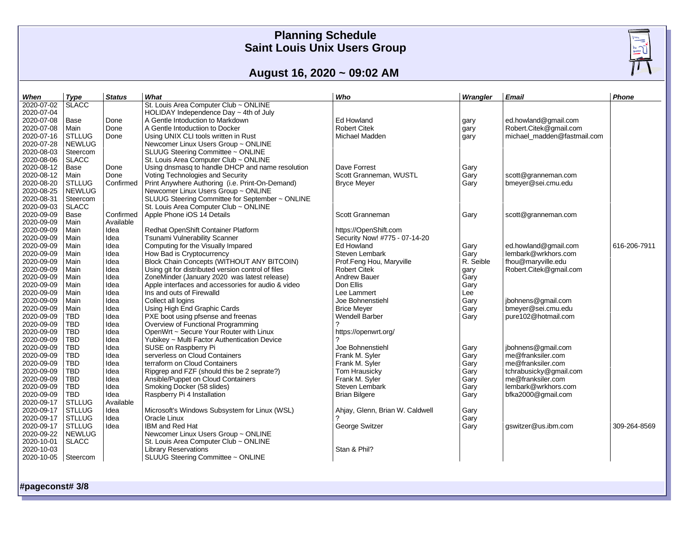

 $\frac{m_0}{m_0}$ 

# **August 16, 2020 ~ 09:02 AM**

| When       | <b>Type</b>   | <b>Status</b> | What                                               | Who                             | Wrangler  | Email                       | Phone        |
|------------|---------------|---------------|----------------------------------------------------|---------------------------------|-----------|-----------------------------|--------------|
| 2020-07-02 | <b>SLACC</b>  |               | St. Louis Area Computer Club ~ ONLINE              |                                 |           |                             |              |
| 2020-07-04 |               |               | HOLIDAY Independence Day $\sim$ 4th of July        |                                 |           |                             |              |
| 2020-07-08 | Base          | Done          | A Gentle Intoduction to Markdown                   | <b>Ed Howland</b>               | gary      | ed.howland@gmail.com        |              |
| 2020-07-08 | Main          | Done          | A Gentle Intoductiion to Docker                    | <b>Robert Citek</b>             | gary      | Robert.Citek@gmail.com      |              |
| 2020-07-16 | <b>STLLUG</b> | Done          | Using UNIX CLI tools written in Rust               | Michael Madden                  | gary      | michael madden@fastmail.com |              |
| 2020-07-28 | <b>NEWLUG</b> |               | Newcomer Linux Users Group ~ ONLINE                |                                 |           |                             |              |
| 2020-08-03 | Steercom      |               | SLUUG Steering Committee ~ ONLINE                  |                                 |           |                             |              |
| 2020-08-06 | <b>SLACC</b>  |               | St. Louis Area Computer Club ~ ONLINE              |                                 |           |                             |              |
| 2020-08-12 | Base          | Done          | Using dnsmasq to handle DHCP and name resolution   | Dave Forrest                    | Gary      |                             |              |
| 2020-08-12 | Main          | Done          | Voting Technologies and Security                   | Scott Granneman, WUSTL          | Gary      | scott@granneman.com         |              |
| 2020-08-20 | <b>STLLUG</b> | Confirmed     | Print Anywhere Authoring (i.e. Print-On-Demand)    | <b>Bryce Meyer</b>              | Gary      | bmeyer@sei.cmu.edu          |              |
| 2020-08-25 | <b>NEWLUG</b> |               | Newcomer Linux Users Group ~ ONLINE                |                                 |           |                             |              |
| 2020-08-31 | Steercom      |               | SLUUG Steering Committee for September ~ ONLINE    |                                 |           |                             |              |
| 2020-09-03 | <b>SLACC</b>  |               | St. Louis Area Computer Club ~ ONLINE              |                                 |           |                             |              |
| 2020-09-09 | Base          | Confirmed     | Apple Phone iOS 14 Details                         | Scott Granneman                 | Gary      | scott@granneman.com         |              |
| 2020-09-09 | Main          | Available     |                                                    |                                 |           |                             |              |
| 2020-09-09 | Main          | Idea          | Redhat OpenShift Container Platform                | https://OpenShift.com           |           |                             |              |
| 2020-09-09 | Main          | Idea          | <b>Tsunami Vulnerability Scanner</b>               | Security Now! #775 - 07-14-20   |           |                             |              |
| 2020-09-09 | Main          | Idea          | Computing for the Visually Impared                 | Ed Howland                      | Gary      | ed.howland@gmail.com        | 616-206-7911 |
| 2020-09-09 | Main          | Idea          | How Bad is Cryptocurrency                          | Steven Lembark                  | Gary      | lembark@wrkhors.com         |              |
| 2020-09-09 | Main          | Idea          | Block Chain Concepts (WITHOUT ANY BITCOIN)         | Prof.Feng Hou, Maryville        | R. Seible | fhou@maryville.edu          |              |
| 2020-09-09 | Main          | Idea          | Using git for distributed version control of files | <b>Robert Citek</b>             | qary      | Robert.Citek@gmail.com      |              |
| 2020-09-09 | Main          | Idea          | ZoneMinder (January 2020 was latest release)       | <b>Andrew Bauer</b>             | Gary      |                             |              |
| 2020-09-09 | Main          | Idea          | Apple interfaces and accessories for audio & video | Don Ellis                       | Gary      |                             |              |
| 2020-09-09 | Main          | Idea          | Ins and outs of Firewalld                          | Lee Lammert                     | Lee       |                             |              |
| 2020-09-09 | Main          | Idea          | Collect all logins                                 | Joe Bohnenstiehl                | Gary      | jbohnens@gmail.com          |              |
| 2020-09-09 | Main          | Idea          | Using High End Graphic Cards                       | <b>Brice Meyer</b>              | Gary      | bmeyer@sei.cmu.edu          |              |
| 2020-09-09 | TBD           | Idea          | PXE boot using pfsense and freenas                 | <b>Wendell Barber</b>           | Gary      | pure102@hotmail.com         |              |
| 2020-09-09 | <b>TBD</b>    | Idea          | Overview of Functional Programming                 |                                 |           |                             |              |
| 2020-09-09 | TBD           | Idea          | OpenWrt ~ Secure Your Router with Linux            | https://openwrt.org/            |           |                             |              |
| 2020-09-09 | TBD           | Idea          | Yubikey ~ Multi Factor Authentication Device       |                                 |           |                             |              |
| 2020-09-09 | TBD           | Idea          | SUSE on Raspberry Pi                               | Joe Bohnenstiehl                | Gary      | jbohnens@gmail.com          |              |
| 2020-09-09 | <b>TBD</b>    | Idea          | serverless on Cloud Containers                     | Frank M. Syler                  | Gary      | me@franksiler.com           |              |
| 2020-09-09 | <b>TBD</b>    | Idea          | terraform on Cloud Containers                      | Frank M. Syler                  | Gary      | me@franksiler.com           |              |
| 2020-09-09 | <b>TBD</b>    | Idea          | Ripgrep and FZF (should this be 2 seprate?)        | Tom Hrausicky                   | Gary      | tchrabusicky@gmail.com      |              |
| 2020-09-09 | TBD           | Idea          | Ansible/Puppet on Cloud Containers                 | Frank M. Syler                  | Gary      | me@franksiler.com           |              |
| 2020-09-09 | TBD           | Idea          | Smoking Docker (58 slides)                         | Steven Lembark                  | Gary      | lembark@wrkhors.com         |              |
| 2020-09-09 | <b>TBD</b>    | Idea          | Raspberry Pi 4 Installation                        | <b>Brian Bilgere</b>            | Gary      | bfka2000@gmail.com          |              |
| 2020-09-17 | <b>STLLUG</b> | Available     |                                                    |                                 |           |                             |              |
| 2020-09-17 | <b>STLLUG</b> | Idea          | Microsoft's Windows Subsystem for Linux (WSL)      | Ahjay, Glenn, Brian W. Caldwell | Gary      |                             |              |
| 2020-09-17 | <b>STLLUG</b> | Idea          | Oracle Linux                                       |                                 | Gary      |                             |              |
| 2020-09-17 | <b>STLLUG</b> | Idea          | IBM and Red Hat                                    | George Switzer                  | Gary      | gswitzer@us.ibm.com         | 309-264-8569 |
| 2020-09-22 | <b>NEWLUG</b> |               | Newcomer Linux Users Group ~ ONLINE                |                                 |           |                             |              |
| 2020-10-01 | <b>SLACC</b>  |               | St. Louis Area Computer Club ~ ONLINE              |                                 |           |                             |              |
| 2020-10-03 |               |               | <b>Library Reservations</b>                        | Stan & Phil?                    |           |                             |              |
| 2020-10-05 | Steercom      |               | SLUUG Steering Committee ~ ONLINE                  |                                 |           |                             |              |
|            |               |               |                                                    |                                 |           |                             |              |

**#pageconst# 3/8**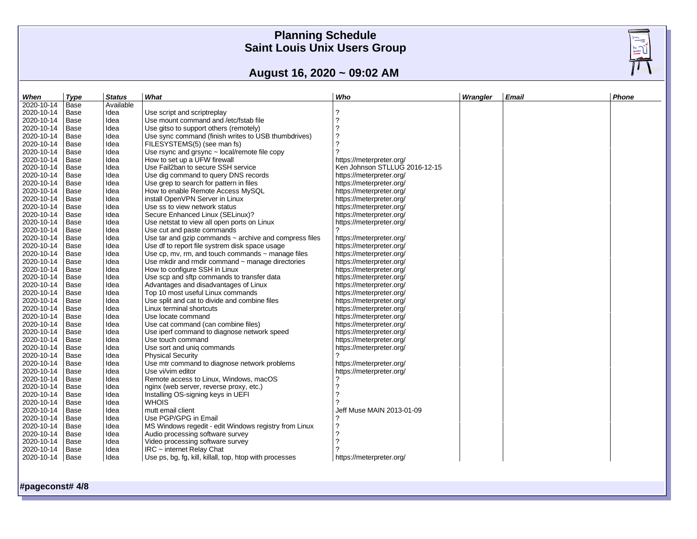# **August 16, 2020 ~ 09:02 AM**

| When                     | Type | <b>Status</b> | What                                                        | Who                           | Wrangler | Email | Phone |
|--------------------------|------|---------------|-------------------------------------------------------------|-------------------------------|----------|-------|-------|
| 2020-10-14               | Base | Available     |                                                             |                               |          |       |       |
| 2020-10-14               | Base | Idea          | Use script and scriptreplay                                 | $\overline{\phantom{a}}$      |          |       |       |
| 2020-10-14               | Base | Idea          | Use mount command and /etc/fstab file                       | ?                             |          |       |       |
| 2020-10-14               | Base | Idea          | Use gitso to support others (remotely)                      | $\overline{\phantom{a}}$      |          |       |       |
| 2020-10-14               | Base | Idea          | Use sync command (finish writes to USB thumbdrives)         | $\overline{\phantom{a}}$      |          |       |       |
| 2020-10-14               | Base | Idea          | FILESYSTEMS(5) (see man fs)                                 | $\overline{?}$                |          |       |       |
| 2020-10-14               | Base | Idea          | Use rsync and grsync $\sim$ local/remote file copy          |                               |          |       |       |
| 2020-10-14               | Base | Idea          | How to set up a UFW firewall                                | https://meterpreter.org/      |          |       |       |
| 2020-10-14               | Base | Idea          | Use Fail2ban to secure SSH service                          | Ken Johnson STLLUG 2016-12-15 |          |       |       |
| 2020-10-14               | Base | Idea          | Use dig command to query DNS records                        | https://meterpreter.org/      |          |       |       |
| 2020-10-14               | Base | Idea          | Use grep to search for pattern in files                     | https://meterpreter.org/      |          |       |       |
| 2020-10-14               | Base | Idea          | How to enable Remote Access MySQL                           | https://meterpreter.org/      |          |       |       |
| 2020-10-14               | Base | Idea          | install OpenVPN Server in Linux                             | https://meterpreter.org/      |          |       |       |
| 2020-10-14               | Base | Idea          | Use ss to view network status                               | https://meterpreter.org/      |          |       |       |
| 2020-10-14               | Base | Idea          | Secure Enhanced Linux (SELinux)?                            | https://meterpreter.org/      |          |       |       |
| 2020-10-14               | Base | Idea          | Use netstat to view all open ports on Linux                 | https://meterpreter.org/      |          |       |       |
| 2020-10-14               | Base | Idea          | Use cut and paste commands                                  |                               |          |       |       |
| 2020-10-14               | Base | Idea          | Use tar and gzip commands $\sim$ archive and compress files | https://meterpreter.org/      |          |       |       |
| 2020-10-14               | Base | Idea          | Use df to report file systrem disk space usage              | https://meterpreter.org/      |          |       |       |
| 2020-10-14               | Base | Idea          | Use cp, mv, rm, and touch commands $\sim$ manage files      | https://meterpreter.org/      |          |       |       |
| 2020-10-14               | Base | Idea          | Use mkdir and rmdir command $\sim$ manage directories       | https://meterpreter.org/      |          |       |       |
|                          |      |               |                                                             |                               |          |       |       |
| 2020-10-14<br>2020-10-14 | Base | Idea          | How to configure SSH in Linux                               | https://meterpreter.org/      |          |       |       |
|                          | Base | Idea          | Use scp and sftp commands to transfer data                  | https://meterpreter.org/      |          |       |       |
| 2020-10-14               | Base | Idea          | Advantages and disadvantages of Linux                       | https://meterpreter.org/      |          |       |       |
| 2020-10-14               | Base | Idea          | Top 10 most useful Linux commands                           | https://meterpreter.org/      |          |       |       |
| 2020-10-14               | Base | Idea          | Use split and cat to divide and combine files               | https://meterpreter.org/      |          |       |       |
| 2020-10-14               | Base | Idea          | Linux terminal shortcuts                                    | https://meterpreter.org/      |          |       |       |
| 2020-10-14               | Base | Idea          | Use locate command                                          | https://meterpreter.org/      |          |       |       |
| 2020-10-14               | Base | Idea          | Use cat command (can combine files)                         | https://meterpreter.org/      |          |       |       |
| 2020-10-14               | Base | Idea          | Use iperf command to diagnose network speed                 | https://meterpreter.org/      |          |       |       |
| 2020-10-14               | Base | Idea          | Use touch command                                           | https://meterpreter.org/      |          |       |       |
| 2020-10-14               | Base | Idea          | Use sort and unig commands                                  | https://meterpreter.org/      |          |       |       |
| 2020-10-14               | Base | Idea          | <b>Physical Security</b>                                    | 2                             |          |       |       |
| 2020-10-14               | Base | Idea          | Use mtr command to diagnose network problems                | https://meterpreter.org/      |          |       |       |
| 2020-10-14               | Base | Idea          | Use vi/vim editor                                           | https://meterpreter.org/      |          |       |       |
| 2020-10-14               | Base | Idea          | Remote access to Linux, Windows, macOS                      | ?                             |          |       |       |
| 2020-10-14               | Base | Idea          | nginx (web server, reverse proxy, etc.)                     | 2                             |          |       |       |
| 2020-10-14               | Base | Idea          | Installing OS-signing keys in UEFI                          | 2                             |          |       |       |
| 2020-10-14               | Base | Idea          | <b>WHOIS</b>                                                |                               |          |       |       |
| 2020-10-14               | Base | Idea          | mutt email client                                           | Jeff Muse MAIN 2013-01-09     |          |       |       |
| 2020-10-14               | Base | Idea          | Use PGP/GPG in Email                                        | ?                             |          |       |       |
| 2020-10-14               | Base | Idea          | MS Windows regedit - edit Windows registry from Linux       | $\overline{\phantom{a}}$      |          |       |       |
| 2020-10-14               | Base | Idea          | Audio processing software survey                            | $\overline{\phantom{a}}$      |          |       |       |
| 2020-10-14               | Base | Idea          | Video processing software survey                            | 2                             |          |       |       |
| 2020-10-14               | Base | Idea          | $IRC$ ~ internet Relay Chat                                 |                               |          |       |       |
| 2020-10-14               | Base | Idea          | Use ps, bg, fg, kill, killall, top, htop with processes     | https://meterpreter.org/      |          |       |       |
|                          |      |               |                                                             |                               |          |       |       |

### **#pageconst# 4/8**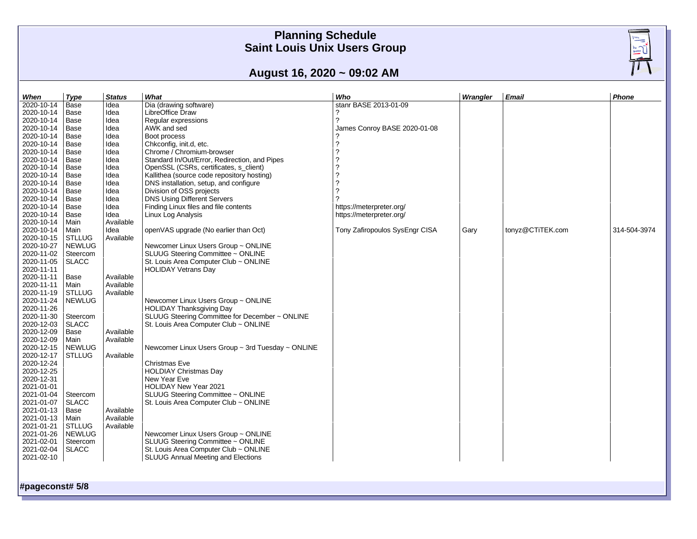$\frac{\sqrt{\frac{1}{2}}}{\sqrt{\frac{1}{2}}\sqrt{\frac{1}{2}}\sqrt{\frac{1}{2}}}}$ 

# **August 16, 2020 ~ 09:02 AM**

| When       | <b>Type</b>   | <b>Status</b> | What                                              | Who                            | Wrangler | <b>Email</b>     | Phone        |
|------------|---------------|---------------|---------------------------------------------------|--------------------------------|----------|------------------|--------------|
| 2020-10-14 | Base          | Idea          | Dia (drawing software)                            | stanr BASE 2013-01-09          |          |                  |              |
| 2020-10-14 | Base          | Idea          | LibreOffice Draw                                  | ?                              |          |                  |              |
| 2020-10-14 | Base          | Idea          | Regular expressions                               | 2                              |          |                  |              |
| 2020-10-14 | Base          | Idea          | AWK and sed                                       | James Conroy BASE 2020-01-08   |          |                  |              |
| 2020-10-14 | Base          | Idea          | Boot process                                      |                                |          |                  |              |
| 2020-10-14 | Base          | Idea          | Chkconfig, init.d, etc.                           | ?                              |          |                  |              |
| 2020-10-14 | Base          | Idea          | Chrome / Chromium-browser                         | 2                              |          |                  |              |
| 2020-10-14 | Base          | Idea          | Standard In/Out/Error, Redirection, and Pipes     |                                |          |                  |              |
| 2020-10-14 | Base          | Idea          | OpenSSL (CSRs, certificates, s client)            |                                |          |                  |              |
| 2020-10-14 | Base          | Idea          | Kallithea (source code repository hosting)        | 2                              |          |                  |              |
| 2020-10-14 | Base          | Idea          | DNS installation, setup, and configure            | ?                              |          |                  |              |
| 2020-10-14 | Base          | Idea          | Division of OSS projects                          | 2                              |          |                  |              |
|            |               |               |                                                   | 2                              |          |                  |              |
| 2020-10-14 | Base          | Idea          | <b>DNS Using Different Servers</b>                |                                |          |                  |              |
| 2020-10-14 | Base          | Idea          | Finding Linux files and file contents             | https://meterpreter.org/       |          |                  |              |
| 2020-10-14 | Base          | Idea          | Linux Log Analysis                                | https://meterpreter.org/       |          |                  |              |
| 2020-10-14 | Main          | Available     |                                                   |                                |          |                  |              |
| 2020-10-14 | Main          | Idea          | openVAS upgrade (No earlier than Oct)             | Tony Zafiropoulos SysEngr CISA | Gary     | tonyz@CTiTEK.com | 314-504-3974 |
| 2020-10-15 | STLLUG        | Available     |                                                   |                                |          |                  |              |
| 2020-10-27 | <b>NEWLUG</b> |               | Newcomer Linux Users Group ~ ONLINE               |                                |          |                  |              |
| 2020-11-02 | Steercom      |               | SLUUG Steering Committee ~ ONLINE                 |                                |          |                  |              |
| 2020-11-05 | <b>SLACC</b>  |               | St. Louis Area Computer Club ~ ONLINE             |                                |          |                  |              |
| 2020-11-11 |               |               | <b>HOLIDAY Vetrans Day</b>                        |                                |          |                  |              |
| 2020-11-11 | Base          | Available     |                                                   |                                |          |                  |              |
| 2020-11-11 | Main          | Available     |                                                   |                                |          |                  |              |
| 2020-11-19 | <b>STLLUG</b> | Available     |                                                   |                                |          |                  |              |
| 2020-11-24 | <b>NEWLUG</b> |               | Newcomer Linux Users Group ~ ONLINE               |                                |          |                  |              |
| 2020-11-26 |               |               | <b>HOLIDAY Thanksgiving Day</b>                   |                                |          |                  |              |
| 2020-11-30 | Steercom      |               | SLUUG Steering Committee for December ~ ONLINE    |                                |          |                  |              |
| 2020-12-03 | <b>SLACC</b>  |               | St. Louis Area Computer Club ~ ONLINE             |                                |          |                  |              |
| 2020-12-09 | Base          | Available     |                                                   |                                |          |                  |              |
| 2020-12-09 | Main          | Available     |                                                   |                                |          |                  |              |
| 2020-12-15 | <b>NEWLUG</b> |               | Newcomer Linux Users Group ~ 3rd Tuesday ~ ONLINE |                                |          |                  |              |
| 2020-12-17 | <b>STLLUG</b> | Available     |                                                   |                                |          |                  |              |
| 2020-12-24 |               |               | <b>Christmas Eve</b>                              |                                |          |                  |              |
| 2020-12-25 |               |               | <b>HOLDIAY Christmas Day</b>                      |                                |          |                  |              |
| 2020-12-31 |               |               | New Year Eve                                      |                                |          |                  |              |
| 2021-01-01 |               |               | <b>HOLIDAY New Year 2021</b>                      |                                |          |                  |              |
| 2021-01-04 | Steercom      |               | SLUUG Steering Committee ~ ONLINE                 |                                |          |                  |              |
| 2021-01-07 | <b>SLACC</b>  |               | St. Louis Area Computer Club ~ ONLINE             |                                |          |                  |              |
| 2021-01-13 | Base          | Available     |                                                   |                                |          |                  |              |
| 2021-01-13 | Main          | Available     |                                                   |                                |          |                  |              |
| 2021-01-21 | STLLUG        | Available     |                                                   |                                |          |                  |              |
| 2021-01-26 | <b>NEWLUG</b> |               | Newcomer Linux Users Group ~ ONLINE               |                                |          |                  |              |
| 2021-02-01 | Steercom      |               | SLUUG Steering Committee ~ ONLINE                 |                                |          |                  |              |
| 2021-02-04 | <b>SLACC</b>  |               | St. Louis Area Computer Club ~ ONLINE             |                                |          |                  |              |
| 2021-02-10 |               |               | SLUUG Annual Meeting and Elections                |                                |          |                  |              |
|            |               |               |                                                   |                                |          |                  |              |
|            |               |               |                                                   |                                |          |                  |              |

**#pageconst# 5/8**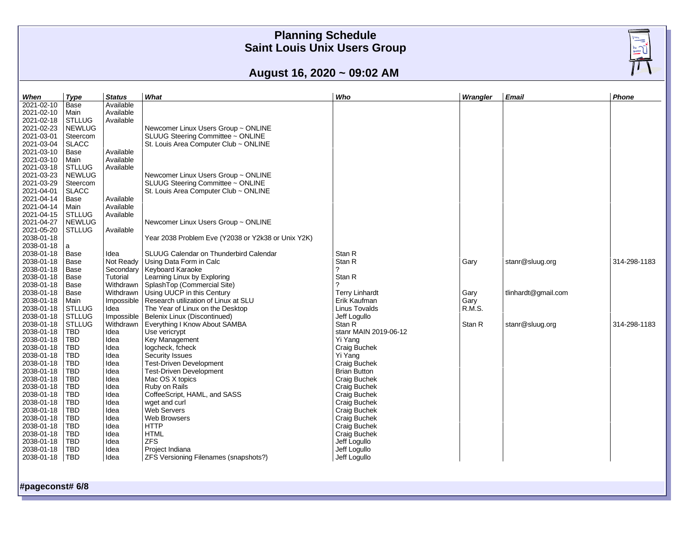

# **August 16, 2020 ~ 09:02 AM**

| When                     | <b>Type</b>                    | <b>Status</b>           | What                                                                     | Who                           | Wrangler       | Email               | <b>Phone</b> |  |  |
|--------------------------|--------------------------------|-------------------------|--------------------------------------------------------------------------|-------------------------------|----------------|---------------------|--------------|--|--|
| 2021-02-10               | <b>Base</b>                    | Available               |                                                                          |                               |                |                     |              |  |  |
| 2021-02-10               | Main                           | Available               |                                                                          |                               |                |                     |              |  |  |
| 2021-02-18               | <b>STLLUG</b>                  | Available               |                                                                          |                               |                |                     |              |  |  |
| 2021-02-23               | <b>NEWLUG</b>                  |                         | Newcomer Linux Users Group ~ ONLINE                                      |                               |                |                     |              |  |  |
| 2021-03-01               | Steercom                       |                         | SLUUG Steering Committee ~ ONLINE                                        |                               |                |                     |              |  |  |
| 2021-03-04               | <b>SLACC</b>                   |                         | St. Louis Area Computer Club ~ ONLINE                                    |                               |                |                     |              |  |  |
| 2021-03-10               | Base                           | Available               |                                                                          |                               |                |                     |              |  |  |
| 2021-03-10               | Main                           | Available               |                                                                          |                               |                |                     |              |  |  |
| 2021-03-18               | <b>STLLUG</b>                  | Available               |                                                                          |                               |                |                     |              |  |  |
| 2021-03-23               | <b>NEWLUG</b>                  |                         | Newcomer Linux Users Group ~ ONLINE                                      |                               |                |                     |              |  |  |
| 2021-03-29               | Steercom                       |                         | SLUUG Steering Committee ~ ONLINE                                        |                               |                |                     |              |  |  |
| 2021-04-01               | <b>SLACC</b>                   |                         | St. Louis Area Computer Club ~ ONLINE                                    |                               |                |                     |              |  |  |
| 2021-04-14               | Base                           | Available               |                                                                          |                               |                |                     |              |  |  |
| 2021-04-14               | Main                           | Available               |                                                                          |                               |                |                     |              |  |  |
| 2021-04-15               | <b>STLLUG</b>                  | Available               |                                                                          |                               |                |                     |              |  |  |
| 2021-04-27               | <b>NEWLUG</b>                  |                         | Newcomer Linux Users Group ~ ONLINE                                      |                               |                |                     |              |  |  |
| 2021-05-20               | <b>STLLUG</b>                  | Available               |                                                                          |                               |                |                     |              |  |  |
| 2038-01-18               |                                |                         | Year 2038 Problem Eve (Y2038 or Y2k38 or Unix Y2K)                       |                               |                |                     |              |  |  |
| 2038-01-18               | a                              |                         |                                                                          |                               |                |                     |              |  |  |
| 2038-01-18               | Base                           | Idea                    | SLUUG Calendar on Thunderbird Calendar                                   | Stan R                        |                |                     |              |  |  |
| 2038-01-18               | Base                           | Not Ready               | Using Data Form in Calc                                                  | Stan R                        | Gary           | stanr@sluug.org     | 314-298-1183 |  |  |
| 2038-01-18               | Base                           | Secondary               | Keyboard Karaoke                                                         |                               |                |                     |              |  |  |
| 2038-01-18               | Base                           | Tutorial                | Learning Linux by Exploring                                              | Stan R<br>2                   |                |                     |              |  |  |
| 2038-01-18               | Base                           | Withdrawn               | SplashTop (Commercial Site)                                              |                               |                |                     |              |  |  |
| 2038-01-18               | Base                           | Withdrawn               | Using UUCP in this Century                                               | <b>Terry Linhardt</b>         | Gary           | tlinhardt@gmail.com |              |  |  |
| 2038-01-18<br>2038-01-18 | Main<br><b>STLLUG</b>          | Impossible              | Research utilization of Linux at SLU<br>The Year of Linux on the Desktop | Erik Kaufman<br>Linus Tovalds | Gary<br>R.M.S. |                     |              |  |  |
| 2038-01-18               |                                | Idea                    |                                                                          |                               |                |                     |              |  |  |
| 2038-01-18               | <b>STLLUG</b><br><b>STLLUG</b> | Impossible<br>Withdrawn | Belenix Linux (Discontinued)<br>Everything I Know About SAMBA            | Jeff Logullo<br>Stan R        | Stan R         | stanr@sluug.org     | 314-298-1183 |  |  |
| 2038-01-18               | <b>TBD</b>                     | Idea                    | Use vericrypt                                                            | stanr MAIN 2019-06-12         |                |                     |              |  |  |
| 2038-01-18               | <b>TBD</b>                     | Idea                    | Key Management                                                           | Yi Yang                       |                |                     |              |  |  |
| 2038-01-18               | <b>TBD</b>                     | Idea                    | logcheck, fcheck                                                         | Craig Buchek                  |                |                     |              |  |  |
| 2038-01-18               | TBD                            | Idea                    | Security Issues                                                          | Yi Yang                       |                |                     |              |  |  |
| 2038-01-18               | TBD                            | Idea                    | <b>Test-Driven Development</b>                                           | Craig Buchek                  |                |                     |              |  |  |
| 2038-01-18               | <b>TBD</b>                     | Idea                    | <b>Test-Driven Development</b>                                           | <b>Brian Button</b>           |                |                     |              |  |  |
| 2038-01-18               | <b>TBD</b>                     | Idea                    | Mac OS X topics                                                          | Craig Buchek                  |                |                     |              |  |  |
| 2038-01-18               | <b>TBD</b>                     | Idea                    | Ruby on Rails                                                            | Craig Buchek                  |                |                     |              |  |  |
| 2038-01-18               | <b>TBD</b>                     | Idea                    | CoffeeScript, HAML, and SASS                                             | Craig Buchek                  |                |                     |              |  |  |
| 2038-01-18               | <b>TBD</b>                     | Idea                    | wget and curl                                                            | Craig Buchek                  |                |                     |              |  |  |
| 2038-01-18               | <b>TBD</b>                     | Idea                    | Web Servers                                                              | Craig Buchek                  |                |                     |              |  |  |
| 2038-01-18               | TBD                            | Idea                    | Web Browsers                                                             | Craig Buchek                  |                |                     |              |  |  |
| 2038-01-18               | <b>TBD</b>                     | Idea                    | <b>HTTP</b>                                                              | Craig Buchek                  |                |                     |              |  |  |
| 2038-01-18               | <b>TBD</b>                     | Idea                    | <b>HTML</b>                                                              | Craig Buchek                  |                |                     |              |  |  |
| 2038-01-18               | <b>TBD</b>                     | Idea                    | <b>ZFS</b>                                                               | Jeff Logullo                  |                |                     |              |  |  |
| 2038-01-18               | <b>TBD</b>                     | Idea                    | Project Indiana                                                          | Jeff Logullo                  |                |                     |              |  |  |
| 2038-01-18   TBD         |                                | Idea                    | ZFS Versioning Filenames (snapshots?)                                    | Jeff Logullo                  |                |                     |              |  |  |
|                          |                                |                         |                                                                          |                               |                |                     |              |  |  |
|                          |                                |                         |                                                                          |                               |                |                     |              |  |  |
| #pageconst# 6/8          |                                |                         |                                                                          |                               |                |                     |              |  |  |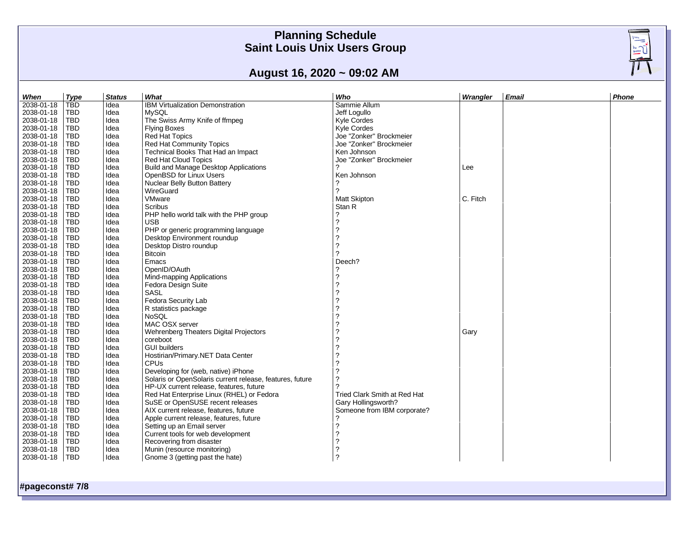# **August 16, 2020 ~ 09:02 AM**

| When       | <b>Type</b> | <b>Status</b> | What                                                     | Who                          | Wrangler | <b>Email</b> | Phone |
|------------|-------------|---------------|----------------------------------------------------------|------------------------------|----------|--------------|-------|
| 2038-01-18 | TBD.        | Idea          | IBM Virtualization Demonstration                         | Sammie Allum                 |          |              |       |
| 2038-01-18 | TBD.        | Idea          | <b>MySOL</b>                                             | Jeff Logullo                 |          |              |       |
| 2038-01-18 | <b>TBD</b>  | Idea          | The Swiss Army Knife of ffmpeg                           | Kyle Cordes                  |          |              |       |
| 2038-01-18 | <b>TBD</b>  | Idea          | Flying Boxes                                             | Kyle Cordes                  |          |              |       |
| 2038-01-18 | <b>TBD</b>  | Idea          | Red Hat Topics                                           | Joe "Zonker" Brockmeier      |          |              |       |
| 2038-01-18 | TBD         | Idea          | Red Hat Community Topics                                 | Joe "Zonker" Brockmeier      |          |              |       |
| 2038-01-18 | TBD         | Idea          | Technical Books That Had an Impact                       | Ken Johnson                  |          |              |       |
| 2038-01-18 | TBD         | Idea          | Red Hat Cloud Topics                                     | Joe "Zonker" Brockmeier      |          |              |       |
| 2038-01-18 | TBD.        | Idea          | Build and Manage Desktop Applications                    |                              | Lee      |              |       |
| 2038-01-18 | <b>TBD</b>  | Idea          | OpenBSD for Linux Users                                  | Ken Johnson                  |          |              |       |
| 2038-01-18 |             |               |                                                          | 2                            |          |              |       |
| 2038-01-18 | <b>TBD</b>  | Idea          | Nuclear Belly Button Battery                             | $\boldsymbol{\mathcal{P}}$   |          |              |       |
|            | <b>TBD</b>  | Idea          | WireGuard                                                |                              |          |              |       |
| 2038-01-18 | <b>TBD</b>  | Idea          | VMware                                                   | <b>Matt Skipton</b>          | C. Fitch |              |       |
| 2038-01-18 | <b>TBD</b>  | Idea          | Scribus                                                  | Stan R                       |          |              |       |
| 2038-01-18 | <b>TBD</b>  | Idea          | PHP hello world talk with the PHP group                  | ?                            |          |              |       |
| 2038-01-18 | <b>TBD</b>  | Idea          | <b>USB</b>                                               | $\overline{\phantom{0}}$     |          |              |       |
| 2038-01-18 | TBD         | Idea          | PHP or generic programming language                      | 2                            |          |              |       |
| 2038-01-18 | TBD.        | Idea          | Desktop Environment roundup                              |                              |          |              |       |
| 2038-01-18 | <b>TBD</b>  | Idea          | Desktop Distro roundup                                   | 2                            |          |              |       |
| 2038-01-18 | TBD.        | Idea          | <b>Bitcoin</b>                                           | $\gamma$                     |          |              |       |
| 2038-01-18 | <b>TBD</b>  | Idea          | Emacs                                                    | Deech?                       |          |              |       |
| 2038-01-18 | <b>TBD</b>  | Idea          | OpenID/OAuth                                             | ?                            |          |              |       |
| 2038-01-18 | <b>TBD</b>  | Idea          | Mind-mapping Applications                                | $\overline{?}$               |          |              |       |
| 2038-01-18 | <b>TBD</b>  | Idea          | Fedora Design Suite                                      | 2                            |          |              |       |
| 2038-01-18 | <b>TBD</b>  | Idea          | <b>SASL</b>                                              |                              |          |              |       |
| 2038-01-18 | <b>TBD</b>  | Idea          | Fedora Security Lab                                      |                              |          |              |       |
| 2038-01-18 | <b>TBD</b>  | Idea          | R statistics package                                     |                              |          |              |       |
| 2038-01-18 | <b>TBD</b>  | Idea          | <b>NoSOL</b>                                             |                              |          |              |       |
| 2038-01-18 | TBD.        | Idea          | MAC OSX server                                           |                              |          |              |       |
| 2038-01-18 | <b>TBD</b>  | Idea          | Wehrenberg Theaters Digital Projectors                   |                              | Gary     |              |       |
| 2038-01-18 | <b>TBD</b>  | Idea          | coreboot                                                 |                              |          |              |       |
| 2038-01-18 | <b>TBD</b>  | Idea          | <b>GUI builders</b>                                      |                              |          |              |       |
|            |             |               |                                                          | 2                            |          |              |       |
| 2038-01-18 | <b>TBD</b>  | Idea          | Hostirian/Primary.NET Data Center                        |                              |          |              |       |
| 2038-01-18 | <b>TBD</b>  | Idea          | <b>CPU<sub>s</sub></b>                                   | 2                            |          |              |       |
| 2038-01-18 | <b>TBD</b>  | Idea          | Developing for (web, native) iPhone                      | ?                            |          |              |       |
| 2038-01-18 | <b>TBD</b>  | Idea          | Solaris or OpenSolaris current release, features, future | 2                            |          |              |       |
| 2038-01-18 | <b>TBD</b>  | Idea          | HP-UX current release, features, future                  |                              |          |              |       |
| 2038-01-18 | <b>TBD</b>  | Idea          | Red Hat Enterprise Linux (RHEL) or Fedora                | Tried Clark Smith at Red Hat |          |              |       |
| 2038-01-18 | <b>TBD</b>  | Idea          | SuSE or OpenSUSE recent releases                         | Gary Hollingsworth?          |          |              |       |
| 2038-01-18 | <b>TBD</b>  | Idea          | AIX current release, features, future                    | Someone from IBM corporate?  |          |              |       |
| 2038-01-18 | <b>TBD</b>  | Idea          | Apple current release, features, future                  |                              |          |              |       |
| 2038-01-18 | TBD         | Idea          | Setting up an Email server                               | $\ddot{\phantom{0}}$         |          |              |       |
| 2038-01-18 | TBD         | Idea          | Current tools for web development                        | $\overline{\mathcal{L}}$     |          |              |       |
| 2038-01-18 | TBD         | Idea          | Recovering from disaster                                 | $\overline{\phantom{a}}$     |          |              |       |
| 2038-01-18 | TBD         | Idea          | Munin (resource monitoring)                              | $\overline{\phantom{a}}$     |          |              |       |
| 2038-01-18 | <b>TBD</b>  | Idea          | Gnome 3 (getting past the hate)                          | $\overline{\phantom{0}}$     |          |              |       |
|            |             |               |                                                          |                              |          |              |       |

**#pageconst# 7 / 8**